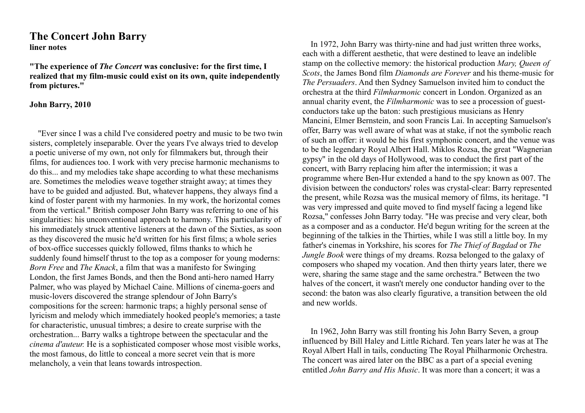## **The Concert John Barry liner notes**

**"The experience of** *The Concert* **was conclusive: for the first time, I realized that my film-music could exist on its own, quite independently from pictures."**

## **John Barry, 2010**

"Ever since I was a child I've considered poetry and music to be two twin sisters, completely inseparable. Over the years I've always tried to develop a poetic universe of my own, not only for filmmakers but, through their films, for audiences too. I work with very precise harmonic mechanisms to do this... and my melodies take shape according to what these mechanisms are. Sometimes the melodies weave together straight away; at times they have to be guided and adjusted. But, whatever happens, they always find a kind of foster parent with my harmonies. In my work, the horizontal comes from the vertical." British composer John Barry was referring to one of his singularities: his unconventional approach to harmony. This particularity of his immediately struck attentive listeners at the dawn of the Sixties, as soon as they discovered the music he'd written for his first films; a whole series of box-office successes quickly followed, films thanks to which he suddenly found himself thrust to the top as a composer for young moderns: *Born Free* and *The Knack*, a film that was a manifesto for Swinging London, the first James Bonds, and then the Bond anti-hero named Harry Palmer, who was played by Michael Caine. Millions of cinema-goers and music-lovers discovered the strange splendour of John Barry's compositions for the screen: harmonic traps; a highly personal sense of lyricism and melody which immediately hooked people's memories; a taste for characteristic, unusual timbres; a desire to create surprise with the orchestration... Barry walks a tightrope between the spectacular and the *cinema d'auteur.* He is a sophisticated composer whose most visible works, the most famous, do little to conceal a more secret vein that is more melancholy, a vein that leans towards introspection.

In 1972, John Barry was thirty-nine and had just written three works, each with a different aesthetic, that were destined to leave an indelible stamp on the collective memory: the historical production *Mary, Queen of Scots*, the James Bond film *Diamonds are Forever* and his theme-music for *The Persuaders*. And then Sydney Samuelson invited him to conduct the orchestra at the third *Filmharmonic* concert in London. Organized as an annual charity event, the *Filmharmonic* was to see a procession of guestconductors take up the baton: such prestigious musicians as Henry Mancini, Elmer Bernstein, and soon Francis Lai. In accepting Samuelson's offer, Barry was well aware of what was at stake, if not the symbolic reach of such an offer: it would be his first symphonic concert, and the venue was to be the legendary Royal Albert Hall. Miklos Rozsa, the great "Wagnerian gypsy" in the old days of Hollywood, was to conduct the first part of the concert, with Barry replacing him after the intermission; it was a programme where Ben-Hur extended a hand to the spy known as 007. The division between the conductors' roles was crystal-clear: Barry represented the present, while Rozsa was the musical memory of films, its heritage. "I was very impressed and quite moved to find myself facing a legend like Rozsa," confesses John Barry today. "He was precise and very clear, both as a composer and as a conductor. He'd begun writing for the screen at the beginning of the talkies in the Thirties, while I was still a little boy. In my father's cinemas in Yorkshire, his scores for *The Thief of Bagdad* or *The Jungle Book* were things of my dreams. Rozsa belonged to the galaxy of composers who shaped my vocation. And then thirty years later, there we were, sharing the same stage and the same orchestra." Between the two halves of the concert, it wasn't merely one conductor handing over to the second: the baton was also clearly figurative, a transition between the old and new worlds.

In 1962, John Barry was still fronting his John Barry Seven, a group influenced by Bill Haley and Little Richard. Ten years later he was at The Royal Albert Hall in tails, conducting The Royal Philharmonic Orchestra. The concert was aired later on the BBC as a part of a special evening entitled *John Barry and His Music*. It was more than a concert; it was a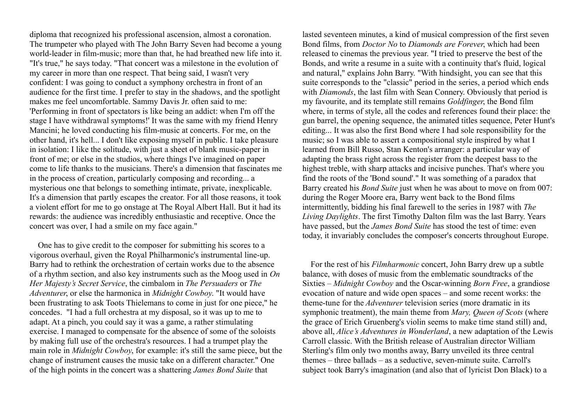diploma that recognized his professional ascension, almost a coronation. The trumpeter who played with The John Barry Seven had become a young world-leader in film-music; more than that, he had breathed new life into it. "It's true," he says today. "That concert was a milestone in the evolution of my career in more than one respect. That being said, I wasn't very confident: I was going to conduct a symphony orchestra in front of an audience for the first time. I prefer to stay in the shadows, and the spotlight makes me feel uncomfortable. Sammy Davis Jr. often said to me: 'Performing in front of spectators is like being an addict: when I'm off the stage I have withdrawal symptoms!' It was the same with my friend Henry Mancini; he loved conducting his film-music at concerts. For me, on the other hand, it's hell... I don't like exposing myself in public. I take pleasure in isolation: I like the solitude, with just a sheet of blank music-paper in front of me; or else in the studios, where things I've imagined on paper come to life thanks to the musicians. There's a dimension that fascinates me in the process of creation, particularly composing and recording... a mysterious one that belongs to something intimate, private, inexplicable. It's a dimension that partly escapes the creator. For all those reasons, it took a violent effort for me to go onstage at The Royal Albert Hall. But it had its rewards: the audience was incredibly enthusiastic and receptive. Once the concert was over, I had a smile on my face again."

One has to give credit to the composer for submitting his scores to a vigorous overhaul, given the Royal Philharmonic's instrumental line-up. Barry had to rethink the orchestration of certain works due to the absence of a rhythm section, and also key instruments such as the Moog used in *On Her Majesty's Secret Service*, the cimbalom in *The Persuaders* or *The Adventurer*, or else the harmonica in *Midnight Cowboy*. "It would have been frustrating to ask Toots Thielemans to come in just for one piece," he concedes. "I had a full orchestra at my disposal, so it was up to me to adapt. At a pinch, you could say it was a game, a rather stimulating exercise. I managed to compensate for the absence of some of the soloists by making full use of the orchestra's resources. I had a trumpet play the main role in *Midnight Cowboy*, for example: it's still the same piece, but the change of instrument causes the music take on a different character." One of the high points in the concert was a shattering *James Bond Suite* that

lasted seventeen minutes, a kind of musical compression of the first seven Bond films, from *Doctor No* to *Diamonds are Forever*, which had been released to cinemas the previous year. "I tried to preserve the best of the Bonds, and write a resume in a suite with a continuity that's fluid, logical and natural," explains John Barry. "With hindsight, you can see that this suite corresponds to the "classic" period in the series, a period which ends with *Diamonds*, the last film with Sean Connery. Obviously that period is my favourite, and its template still remains *Goldfinger*, the Bond film where, in terms of style, all the codes and references found their place: the gun barrel, the opening sequence, the animated titles sequence, Peter Hunt's editing... It was also the first Bond where I had sole responsibility for the music; so I was able to assert a compositional style inspired by what I learned from Bill Russo, Stan Kenton's arranger: a particular way of adapting the brass right across the register from the deepest bass to the highest treble, with sharp attacks and incisive punches. That's where you find the roots of the 'Bond sound'." It was something of a paradox that Barry created his *Bond Suite* just when he was about to move on from 007: during the Roger Moore era, Barry went back to the Bond films intermittently, bidding his final farewell to the series in 1987 with *The Living Daylights*. The first Timothy Dalton film was the last Barry. Years have passed, but the *James Bond Suite* has stood the test of time: even today, it invariably concludes the composer's concerts throughout Europe.

For the rest of his *Filmharmonic* concert, John Barry drew up a subtle balance, with doses of music from the emblematic soundtracks of the Sixties – *Midnight Cowboy* and the Oscar-winning *Born Free*, a grandiose evocation of nature and wide open spaces – and some recent works: the theme-tune for the *Adventurer* television series (more dramatic in its symphonic treatment), the main theme from *Mary, Queen of Scots* (where the grace of Erich Gruenberg's violin seems to make time stand still) and, above all, *Alice's Adventures in Wonderland*, a new adaptation of the Lewis Carroll classic. With the British release of Australian director William Sterling's film only two months away, Barry unveiled its three central themes – three ballads – as a seductive, seven-minute suite. Carroll's subject took Barry's imagination (and also that of lyricist Don Black) to a